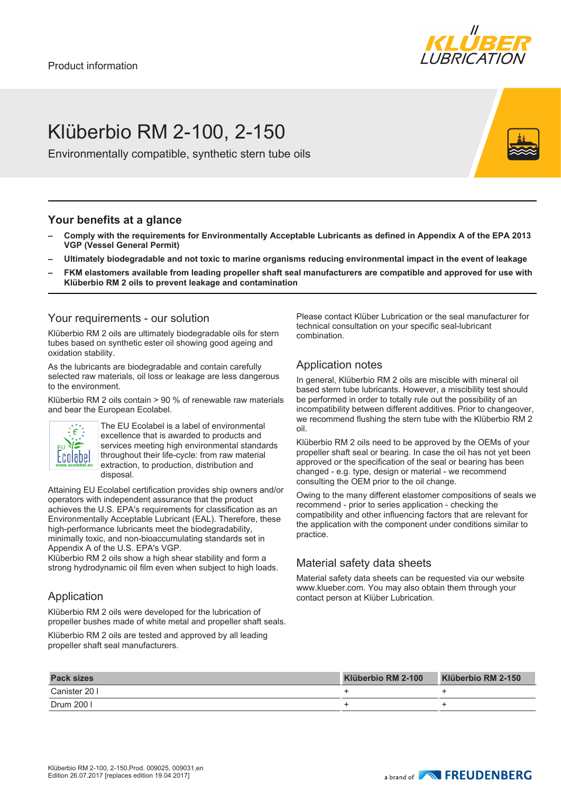

# Klüberbio RM 2-100, 2-150

Environmentally compatible, synthetic stern tube oils

#### **Your benefits at a glance**

- **– Comply with the requirements for Environmentally Acceptable Lubricants as defined in Appendix A of the EPA 2013 VGP (Vessel General Permit)**
- **– Ultimately biodegradable and not toxic to marine organisms reducing environmental impact in the event of leakage**
- **– FKM elastomers available from leading propeller shaft seal manufacturers are compatible and approved for use with Klüberbio RM 2 oils to prevent leakage and contamination**

#### Your requirements - our solution

Klüberbio RM 2 oils are ultimately biodegradable oils for stern tubes based on synthetic ester oil showing good ageing and oxidation stability.

As the lubricants are biodegradable and contain carefully selected raw materials, oil loss or leakage are less dangerous to the environment.

Klüberbio RM 2 oils contain > 90 % of renewable raw materials and bear the European Ecolabel.



The EU Ecolabel is a label of environmental excellence that is awarded to products and services meeting high environmental standards throughout their life-cycle: from raw material extraction, to production, distribution and disposal.

Attaining EU Ecolabel certification provides ship owners and/or operators with independent assurance that the product achieves the U.S. EPA's requirements for classification as an Environmentally Acceptable Lubricant (EAL). Therefore, these high-performance lubricants meet the biodegradability, minimally toxic, and non-bioaccumulating standards set in Appendix A of the U.S. EPA's VGP.

Klüberbio RM 2 oils show a high shear stability and form a strong hydrodynamic oil film even when subject to high loads.

### Application

Klüberbio RM 2 oils were developed for the lubrication of propeller bushes made of white metal and propeller shaft seals.

Klüberbio RM 2 oils are tested and approved by all leading propeller shaft seal manufacturers.

Please contact Klüber Lubrication or the seal manufacturer for technical consultation on your specific seal-lubricant combination.

#### Application notes

In general, Klüberbio RM 2 oils are miscible with mineral oil based stern tube lubricants. However, a miscibility test should be performed in order to totally rule out the possibility of an incompatibility between different additives. Prior to changeover, we recommend flushing the stern tube with the Klüberbio RM 2 oil.

Klüberbio RM 2 oils need to be approved by the OEMs of your propeller shaft seal or bearing. In case the oil has not yet been approved or the specification of the seal or bearing has been changed - e.g. type, design or material - we recommend consulting the OEM prior to the oil change.

Owing to the many different elastomer compositions of seals we recommend - prior to series application - checking the compatibility and other influencing factors that are relevant for the application with the component under conditions similar to practice.

### Material safety data sheets

Material safety data sheets can be requested via our website www.klueber.com. You may also obtain them through your contact person at Klüber Lubrication.

| <b>Pack sizes</b> | Klüberbio RM 2-100 | Klüberbio RM 2-150 |
|-------------------|--------------------|--------------------|
| Canister 20 I     |                    |                    |
| Drum 200          |                    |                    |